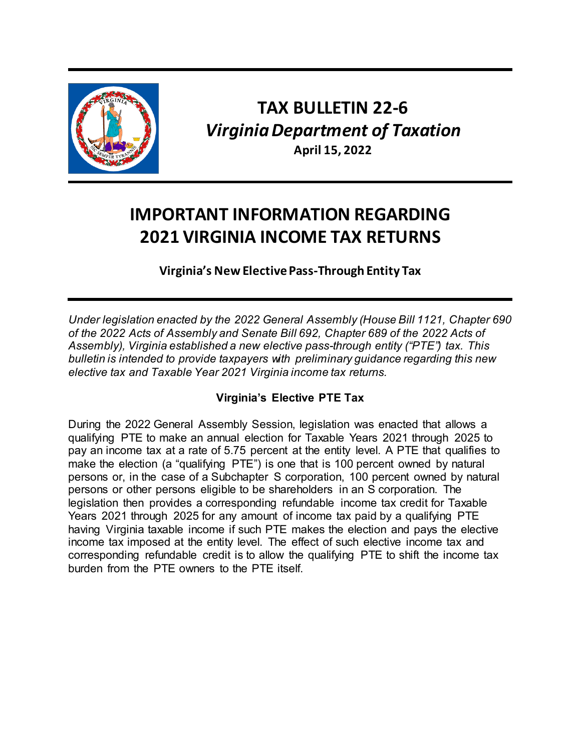

# **TAX BULLETIN 22-6** *Virginia Department of Taxation* **April 15, 2022**

# **IMPORTANT INFORMATION REGARDING 2021 VIRGINIA INCOME TAX RETURNS**

**Virginia's New Elective Pass-Through Entity Tax**

*Under legislation enacted by the 2022 General Assembly (House Bill 1121, Chapter 690 of the 2022 Acts of Assembly and Senate Bill 692, Chapter 689 of the 2022 Acts of Assembly), Virginia established a new elective pass-through entity ("PTE") tax. This bulletin is intended to provide taxpayers with preliminary guidance regarding this new elective tax and Taxable Year 2021 Virginia income tax returns.*

## **Virginia's Elective PTE Tax**

During the 2022 General Assembly Session, legislation was enacted that allows a qualifying PTE to make an annual election for Taxable Years 2021 through 2025 to pay an income tax at a rate of 5.75 percent at the entity level. A PTE that qualifies to make the election (a "qualifying PTE") is one that is 100 percent owned by natural persons or, in the case of a Subchapter S corporation, 100 percent owned by natural persons or other persons eligible to be shareholders in an S corporation. The legislation then provides a corresponding refundable income tax credit for Taxable Years 2021 through 2025 for any amount of income tax paid by a qualifying PTE having Virginia taxable income if such PTE makes the election and pays the elective income tax imposed at the entity level. The effect of such elective income tax and corresponding refundable credit is to allow the qualifying PTE to shift the income tax burden from the PTE owners to the PTE itself.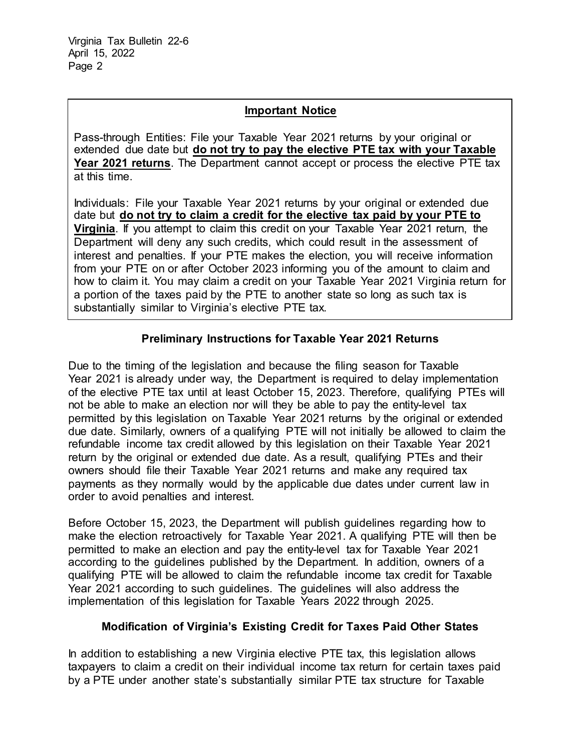#### **Important Notice**

Pass-through Entities: File your Taxable Year 2021 returns by your original or extended due date but **do not try to pay the elective PTE tax with your Taxable Year 2021 returns**. The Department cannot accept or process the elective PTE tax at this time.

Individuals: File your Taxable Year 2021 returns by your original or extended due date but **do not try to claim a credit for the elective tax paid by your PTE to Virginia**. If you attempt to claim this credit on your Taxable Year 2021 return, the Department will deny any such credits, which could result in the assessment of interest and penalties. If your PTE makes the election, you will receive information from your PTE on or after October 2023 informing you of the amount to claim and how to claim it. You may claim a credit on your Taxable Year 2021 Virginia return for a portion of the taxes paid by the PTE to another state so long as such tax is substantially similar to Virginia's elective PTE tax.

### **Preliminary Instructions for Taxable Year 2021 Returns**

Due to the timing of the legislation and because the filing season for Taxable Year 2021 is already under way, the Department is required to delay implementation of the elective PTE tax until at least October 15, 2023. Therefore, qualifying PTEs will not be able to make an election nor will they be able to pay the entity-level tax permitted by this legislation on Taxable Year 2021 returns by the original or extended due date. Similarly, owners of a qualifying PTE will not initially be allowed to claim the refundable income tax credit allowed by this legislation on their Taxable Year 2021 return by the original or extended due date. As a result, qualifying PTEs and their owners should file their Taxable Year 2021 returns and make any required tax payments as they normally would by the applicable due dates under current law in order to avoid penalties and interest.

Before October 15, 2023, the Department will publish guidelines regarding how to make the election retroactively for Taxable Year 2021. A qualifying PTE will then be permitted to make an election and pay the entity-level tax for Taxable Year 2021 according to the guidelines published by the Department. In addition, owners of a qualifying PTE will be allowed to claim the refundable income tax credit for Taxable Year 2021 according to such guidelines. The guidelines will also address the implementation of this legislation for Taxable Years 2022 through 2025.

### **Modification of Virginia's Existing Credit for Taxes Paid Other States**

In addition to establishing a new Virginia elective PTE tax, this legislation allows taxpayers to claim a credit on their individual income tax return for certain taxes paid by a PTE under another state's substantially similar PTE tax structure for Taxable